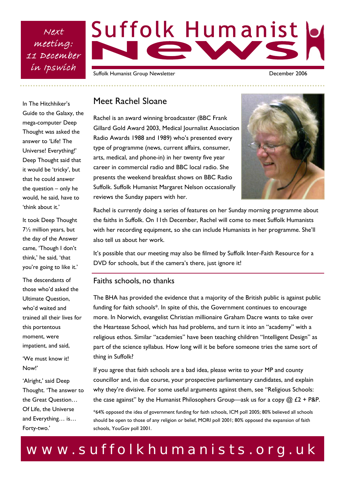Next meeting: 11 December in Ipswich

# Suffolk Humanist

Suffolk Humanist Group Newsletter **December 2006** 

In The Hitchhiker's Guide to the Galaxy, the mega-computer Deep Thought was asked the answer to 'Life! The Universe! Everything!' Deep Thought said that it would be 'tricky', but that he could answer the question – only he would, he said, have to 'think about it.'

It took Deep Thought 7½ million years, but the day of the Answer came, 'Though I don't think,' he said, 'that you're going to like it.'

The descendants of those who'd asked the Ultimate Question, who'd waited and trained all their lives for this portentous moment, were impatient, and said,

'We must know it! Now!'

'Alright,' said Deep Thought. 'The answer to the Great Question… Of Life, the Universe and Everything… is… Forty-two.'

### Meet Rachel Sloane

Rachel is an award winning broadcaster (BBC Frank Gillard Gold Award 2003, Medical Journalist Association Radio Awards 1988 and 1989) who's presented every type of programme (news, current affairs, consumer, arts, medical, and phone-in) in her twenty five year career in commercial radio and BBC local radio. She presents the weekend breakfast shows on BBC Radio Suffolk. Suffolk Humanist Margaret Nelson occasionally reviews the Sunday papers with her.



Rachel is currently doing a series of features on her Sunday morning programme about the faiths in Suffolk. On 11th December, Rachel will come to meet Suffolk Humanists with her recording equipment, so she can include Humanists in her programme. She'll also tell us about her work.

It's possible that our meeting may also be filmed by Suffolk Inter-Faith Resource for a DVD for schools, but if the camera's there, just ignore it!

#### Faiths schools, no thanks

The BHA has provided the evidence that a majority of the British public is against public funding for faith schools\*. In spite of this, the Government continues to encourage more. In Norwich, evangelist Christian millionaire Graham Dacre wants to take over the Heartease School, which has had problems, and turn it into an "academy" with a religious ethos. Similar "academies" have been teaching children "Intelligent Design" as part of the science syllabus. How long will it be before someone tries the same sort of thing in Suffolk?

If you agree that faith schools are a bad idea, please write to your MP and county councillor and, in due course, your prospective parliamentary candidates, and explain why they're divisive. For some useful arguments against them, see "Religious Schools: the case against" by the Humanist Philosophers Group—ask us for a copy  $@$  £2 + P&P.

\*64% opposed the idea of government funding for faith schools, ICM poll 2005; 80% believed all schools should be open to those of any religion or belief, MORI poll 2001; 80% opposed the expansion of faith schools, YouGov poll 2001.

## www.suffolkhumanists.org.uk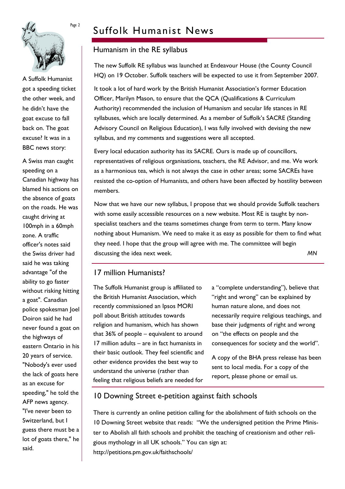

A Suffolk Humanist got a speeding ticket the other week, and he didn't have the goat excuse to fall back on. The goat excuse? It was in a BBC news story:

A Swiss man caught speeding on a Canadian highway has blamed his actions on the absence of goats on the roads. He was caught driving at 100mph in a 60mph zone. A traffic officer's notes said the Swiss driver had said he was taking advantage "of the ability to go faster without risking hitting a goat". Canadian police spokesman Joel Doiron said he had never found a goat on the highways of eastern Ontario in his 20 years of service. "Nobody's ever used the lack of goats here as an excuse for speeding," he told the AFP news agency. "I've never been to Switzerland, but I guess there must be a lot of goats there," he said.

## Suffolk Humanist News

#### Humanism in the RE syllabus

The new Suffolk RE syllabus was launched at Endeavour House (the County Council HQ) on 19 October. Suffolk teachers will be expected to use it from September 2007.

It took a lot of hard work by the British Humanist Association's former Education Officer, Marilyn Mason, to ensure that the QCA (Qualifications & Curriculum Authority) recommended the inclusion of Humanism and secular life stances in RE syllabuses, which are locally determined. As a member of Suffolk's SACRE (Standing Advisory Council on Religious Education), I was fully involved with devising the new syllabus, and my comments and suggestions were all accepted.

Every local education authority has its SACRE. Ours is made up of councillors, representatives of religious organisations, teachers, the RE Advisor, and me. We work as a harmonious tea, which is not always the case in other areas; some SACREs have resisted the co-option of Humanists, and others have been affected by hostility between members.

Now that we have our new syllabus, I propose that we should provide Suffolk teachers with some easily accessible resources on a new website. Most RE is taught by nonspecialist teachers and the teams sometimes change from term to term. Many know nothing about Humanism. We need to make it as easy as possible for them to find what they need. I hope that the group will agree with me. The committee will begin discussing the idea next week. *MN*

#### 17 million Humanists?

The Suffolk Humanist group is affiliated to the British Humanist Association, which recently commissioned an Ipsos MORI poll about British attitudes towards religion and humanism, which has shown that 36% of people – equivalent to around 17 million adults – are in fact humanists in their basic outlook. They feel scientific and other evidence provides the best way to understand the universe (rather than feeling that religious beliefs are needed for

a "complete understanding"), believe that "right and wrong" can be explained by human nature alone, and does not necessarily require religious teachings, and base their judgments of right and wrong on "the effects on people and the consequences for society and the world".

A copy of the BHA press release has been sent to local media. For a copy of the report, please phone or email us.

#### 10 Downing Street e-petition against faith schools

There is currently an online petition calling for the abolishment of faith schools on the 10 Downing Street website that reads: "We the undersigned petition the Prime Minister to Abolish all faith schools and prohibit the teaching of creationism and other religious mythology in all UK schools." You can sign at: http://petitions.pm.gov.uk/faithschools/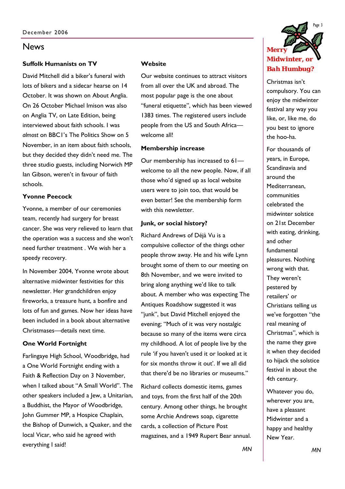#### **Suffolk Humanists on TV**

David Mitchell did a biker's funeral with lots of bikers and a sidecar hearse on 14 October. It was shown on About Anglia. On 26 October Michael Imison was also on Anglia TV, on Late Edition, being interviewed about faith schools. I was *almost* on BBC1's The Politics Show on 5 November, in an item about faith schools, but they decided they didn't need me. The three studio guests, including Norwich MP Ian Gibson, weren't in favour of faith schools.

#### **Yvonne Peecock**

Yvonne, a member of our ceremonies team, recently had surgery for breast cancer. She was very relieved to learn that the operation was a success and she won't need further treatment . We wish her a speedy recovery.

In November 2004, Yvonne wrote about alternative midwinter festivities for this newsletter. Her grandchildren enjoy fireworks, a treasure hunt, a bonfire and lots of fun and games. Now her ideas have been included in a book about alternative Christmases—details next time.

#### **One World Fortnight**

Farlingaye High School, Woodbridge, had a One World Fortnight ending with a Faith & Reflection Day on 3 November, when I talked about "A Small World". The other speakers included a Jew, a Unitarian, a Buddhist, the Mayor of Woodbridge, John Gummer MP, a Hospice Chaplain, the Bishop of Dunwich, a Quaker, and the local Vicar, who said he agreed with everything I said!

#### **Website**

Our website continues to attract visitors from all over the UK and abroad. The most popular page is the one about "funeral etiquette", which has been viewed 1383 times. The registered users include people from the US and South Africa welcome all!

#### **Membership increase**

Our membership has increased to 61 welcome to all the new people. Now, if all those who'd signed up as local website users were to join too, that would be even better! See the membership form with this newsletter.

#### **Junk, or social history?**

Richard Andrews of Déjà Vu is a compulsive collector of the things other people throw away. He and his wife Lynn brought some of them to our meeting on 8th November, and we were invited to bring along anything we'd like to talk about. A member who was expecting The Antiques Roadshow suggested it was "junk", but David Mitchell enjoyed the evening; "Much of it was very nostalgic because so many of the items were circa my childhood. A lot of people live by the rule 'if you haven't used it or looked at it for six months throw it out'. If we all did that there'd be no libraries or museums."

Richard collects domestic items, games and toys, from the first half of the 20th century. Among other things, he brought some Archie Andrews soap, cigarette cards, a collection of Picture Post magazines, and a 1949 Rupert Bear annual.



Christmas isn't compulsory. You can enjoy the midwinter festival any way you like, or, like me, do you best to ignore the hoo-ha.

For thousands of years, in Europe, Scandinavia and around the Mediterranean, communities celebrated the midwinter solstice on 21st December with eating, drinking, and other fundamental pleasures. Nothing wrong with that. They weren't pestered by retailers' or Christians telling us we've forgotten "the real meaning of Christmas", which is the name they gave it when they decided to hijack the solstice festival in about the 4th century.

Whatever you do, wherever you are, have a pleasant Midwinter and a happy and healthy New Year.